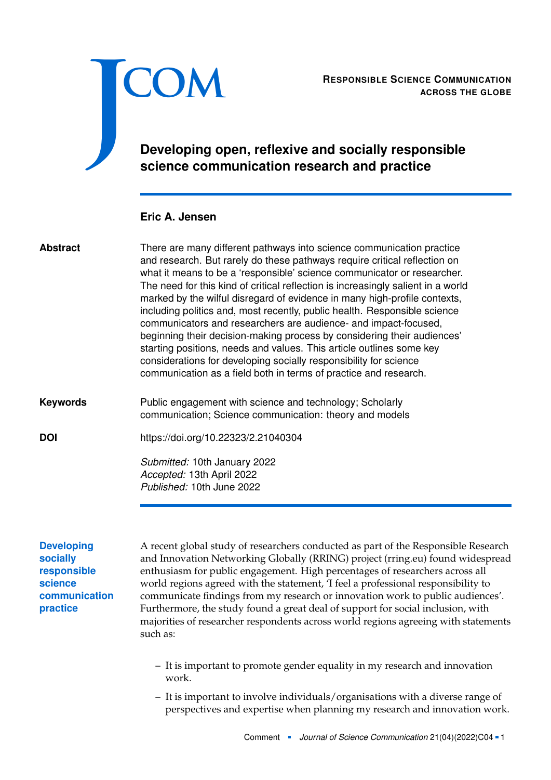<span id="page-0-0"></span>

**ACROSS THE GLOBE**

# **Developing open, reflexive and socially responsible science communication research and practice**

## **Eric A. Jensen**

| <b>Abstract</b>                                     | There are many different pathways into science communication practice<br>and research. But rarely do these pathways require critical reflection on<br>what it means to be a 'responsible' science communicator or researcher.<br>The need for this kind of critical reflection is increasingly salient in a world<br>marked by the wilful disregard of evidence in many high-profile contexts,<br>including politics and, most recently, public health. Responsible science<br>communicators and researchers are audience- and impact-focused,<br>beginning their decision-making process by considering their audiences'<br>starting positions, needs and values. This article outlines some key<br>considerations for developing socially responsibility for science<br>communication as a field both in terms of practice and research. |
|-----------------------------------------------------|--------------------------------------------------------------------------------------------------------------------------------------------------------------------------------------------------------------------------------------------------------------------------------------------------------------------------------------------------------------------------------------------------------------------------------------------------------------------------------------------------------------------------------------------------------------------------------------------------------------------------------------------------------------------------------------------------------------------------------------------------------------------------------------------------------------------------------------------|
| <b>Keywords</b>                                     | Public engagement with science and technology; Scholarly<br>communication; Science communication: theory and models                                                                                                                                                                                                                                                                                                                                                                                                                                                                                                                                                                                                                                                                                                                        |
| <b>DOI</b>                                          | https://doi.org/10.22323/2.21040304                                                                                                                                                                                                                                                                                                                                                                                                                                                                                                                                                                                                                                                                                                                                                                                                        |
|                                                     | Submitted: 10th January 2022<br>Accepted: 13th April 2022<br>Published: 10th June 2022                                                                                                                                                                                                                                                                                                                                                                                                                                                                                                                                                                                                                                                                                                                                                     |
| <b>Developing</b><br><b>socially</b><br>responsible | A recent global study of researchers conducted as part of the Responsible Research<br>and Innovation Networking Globally (RRING) project (rring.eu) found widespread<br>enthusiasm for public engagement. High percentages of researchers across all                                                                                                                                                                                                                                                                                                                                                                                                                                                                                                                                                                                       |

**responsible science communication practice**

and Innovation Networking Globally (RRING) project (rring.eu) found widespread enthusiasm for public engagement. High percentages of researchers across all world regions agreed with the statement, 'I feel a professional responsibility to communicate findings from my research or innovation work to public audiences'. Furthermore, the study found a great deal of support for social inclusion, with majorities of researcher respondents across world regions agreeing with statements such as:

- It is important to promote gender equality in my research and innovation work.
- It is important to involve individuals/organisations with a diverse range of perspectives and expertise when planning my research and innovation work.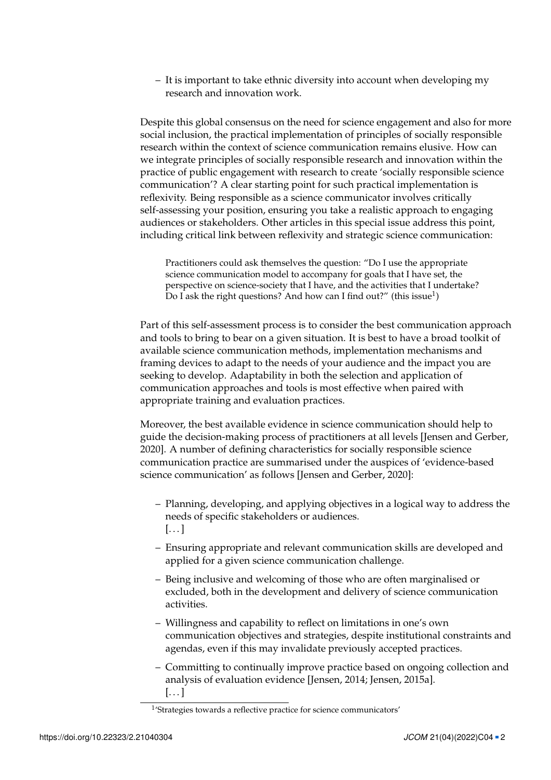– It is important to take ethnic diversity into account when developing my research and innovation work.

Despite this global consensus on the need for science engagement and also for more social inclusion, the practical implementation of principles of socially responsible research within the context of science communication remains elusive. How can we integrate principles of socially responsible research and innovation within the practice of public engagement with research to create 'socially responsible science communication'? A clear starting point for such practical implementation is reflexivity. Being responsible as a science communicator involves critically self-assessing your position, ensuring you take a realistic approach to engaging audiences or stakeholders. Other articles in this special issue address this point, including critical link between reflexivity and strategic science communication:

Practitioners could ask themselves the question: "Do I use the appropriate science communication model to accompany for goals that I have set, the perspective on science-society that I have, and the activities that I undertake? Do I ask the right questions? And how can I find out?" (this issue<sup>[1](#page-0-0)</sup>)

Part of this self-assessment process is to consider the best communication approach and tools to bring to bear on a given situation. It is best to have a broad toolkit of available science communication methods, implementation mechanisms and framing devices to adapt to the needs of your audience and the impact you are seeking to develop. Adaptability in both the selection and application of communication approaches and tools is most effective when paired with appropriate training and evaluation practices.

Moreover, the best available evidence in science communication should help to guide the decision-making process of practitioners at all levels [Jensen and Gerber, [2020\]](#page-6-0). A number of defining characteristics for socially responsible science communication practice are summarised under the auspices of 'evidence-based science communication' as follows [Jensen and Gerber, [2020\]](#page-6-0):

- Planning, developing, and applying objectives in a logical way to address the needs of specific stakeholders or audiences.  $\left[\ldots\right]$
- Ensuring appropriate and relevant communication skills are developed and applied for a given science communication challenge.
- Being inclusive and welcoming of those who are often marginalised or excluded, both in the development and delivery of science communication activities.
- Willingness and capability to reflect on limitations in one's own communication objectives and strategies, despite institutional constraints and agendas, even if this may invalidate previously accepted practices.
- Committing to continually improve practice based on ongoing collection and analysis of evaluation evidence [Jensen, [2014;](#page-6-1) Jensen, [2015a\]](#page-6-2).  $[\ldots]$

<sup>&</sup>lt;sup>1</sup>'Strategies towards a reflective practice for science communicators'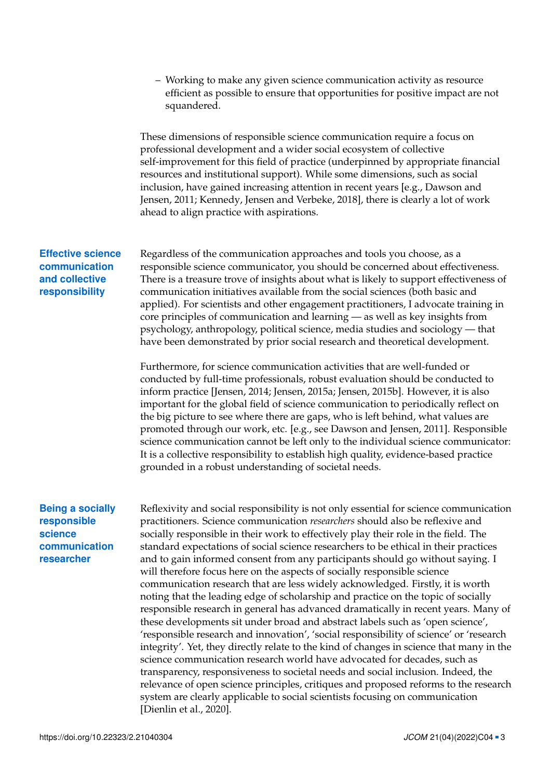– Working to make any given science communication activity as resource efficient as possible to ensure that opportunities for positive impact are not squandered.

These dimensions of responsible science communication require a focus on professional development and a wider social ecosystem of collective self-improvement for this field of practice (underpinned by appropriate financial resources and institutional support). While some dimensions, such as social inclusion, have gained increasing attention in recent years [e.g., Dawson and Jensen, [2011;](#page-6-3) Kennedy, Jensen and Verbeke, [2018\]](#page-6-4), there is clearly a lot of work ahead to align practice with aspirations.

### **Effective science communication and collective responsibility**

Regardless of the communication approaches and tools you choose, as a responsible science communicator, you should be concerned about effectiveness. There is a treasure trove of insights about what is likely to support effectiveness of communication initiatives available from the social sciences (both basic and applied). For scientists and other engagement practitioners, I advocate training in core principles of communication and learning — as well as key insights from psychology, anthropology, political science, media studies and sociology — that have been demonstrated by prior social research and theoretical development.

Furthermore, for science communication activities that are well-funded or conducted by full-time professionals, robust evaluation should be conducted to inform practice [Jensen, [2014;](#page-6-1) Jensen, [2015a;](#page-6-2) Jensen, [2015b\]](#page-6-5). However, it is also important for the global field of science communication to periodically reflect on the big picture to see where there are gaps, who is left behind, what values are promoted through our work, etc. [e.g., see Dawson and Jensen, [2011\]](#page-6-3). Responsible science communication cannot be left only to the individual science communicator: It is a collective responsibility to establish high quality, evidence-based practice grounded in a robust understanding of societal needs.

### **Being a socially responsible science communication researcher**

Reflexivity and social responsibility is not only essential for science communication practitioners. Science communication *researchers* should also be reflexive and socially responsible in their work to effectively play their role in the field. The standard expectations of social science researchers to be ethical in their practices and to gain informed consent from any participants should go without saying. I will therefore focus here on the aspects of socially responsible science communication research that are less widely acknowledged. Firstly, it is worth noting that the leading edge of scholarship and practice on the topic of socially responsible research in general has advanced dramatically in recent years. Many of these developments sit under broad and abstract labels such as 'open science', 'responsible research and innovation', 'social responsibility of science' or 'research integrity'. Yet, they directly relate to the kind of changes in science that many in the science communication research world have advocated for decades, such as transparency, responsiveness to societal needs and social inclusion. Indeed, the relevance of open science principles, critiques and proposed reforms to the research system are clearly applicable to social scientists focusing on communication [Dienlin et al., [2020\]](#page-6-6).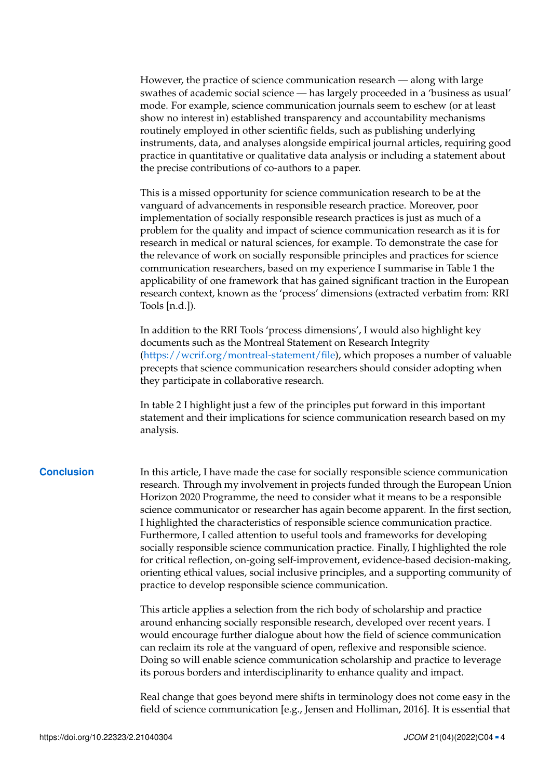However, the practice of science communication research — along with large swathes of academic social science — has largely proceeded in a 'business as usual' mode. For example, science communication journals seem to eschew (or at least show no interest in) established transparency and accountability mechanisms routinely employed in other scientific fields, such as publishing underlying instruments, data, and analyses alongside empirical journal articles, requiring good practice in quantitative or qualitative data analysis or including a statement about the precise contributions of co-authors to a paper.

This is a missed opportunity for science communication research to be at the vanguard of advancements in responsible research practice. Moreover, poor implementation of socially responsible research practices is just as much of a problem for the quality and impact of science communication research as it is for research in medical or natural sciences, for example. To demonstrate the case for the relevance of work on socially responsible principles and practices for science communication researchers, based on my experience I summarise in Table [1](#page-4-0) the applicability of one framework that has gained significant traction in the European research context, known as the 'process' dimensions (extracted verbatim from: RRI Tools [\[n.d.\]](#page-6-7)).

In addition to the RRI Tools 'process dimensions', I would also highlight key documents such as the Montreal Statement on Research Integrity [\(https://wcrif.org/montreal-statement/file\)](https://wcrif.org/montreal-statement/file), which proposes a number of valuable precepts that science communication researchers should consider adopting when they participate in collaborative research.

In table [2](#page-5-0) I highlight just a few of the principles put forward in this important statement and their implications for science communication research based on my analysis.

**Conclusion** In this article, I have made the case for socially responsible science communication research. Through my involvement in projects funded through the European Union Horizon 2020 Programme, the need to consider what it means to be a responsible science communicator or researcher has again become apparent. In the first section, I highlighted the characteristics of responsible science communication practice. Furthermore, I called attention to useful tools and frameworks for developing socially responsible science communication practice. Finally, I highlighted the role for critical reflection, on-going self-improvement, evidence-based decision-making, orienting ethical values, social inclusive principles, and a supporting community of practice to develop responsible science communication.

> This article applies a selection from the rich body of scholarship and practice around enhancing socially responsible research, developed over recent years. I would encourage further dialogue about how the field of science communication can reclaim its role at the vanguard of open, reflexive and responsible science. Doing so will enable science communication scholarship and practice to leverage its porous borders and interdisciplinarity to enhance quality and impact.

Real change that goes beyond mere shifts in terminology does not come easy in the field of science communication [e.g., Jensen and Holliman, [2016\]](#page-6-8). It is essential that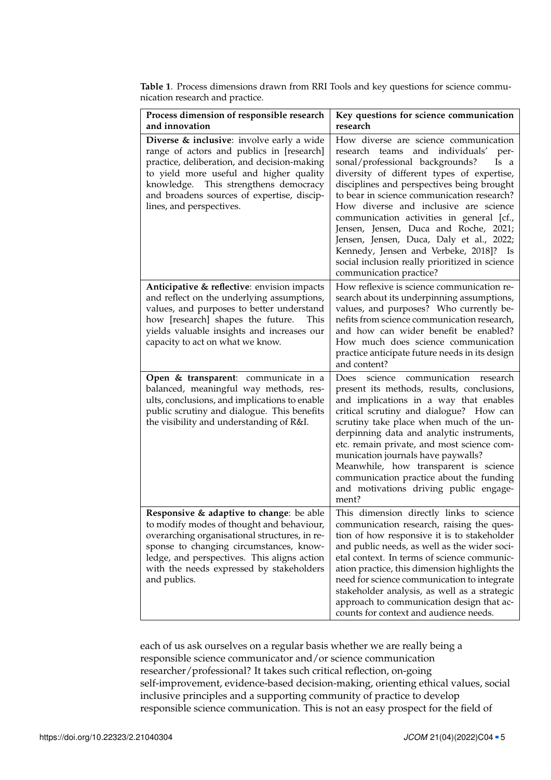| Process dimension of responsible research<br>and innovation                                                                                                                                                                                                                                         | Key questions for science communication<br>research                                                                                                                                                                                                                                                                                                                                                                                                                                                                                                                           |
|-----------------------------------------------------------------------------------------------------------------------------------------------------------------------------------------------------------------------------------------------------------------------------------------------------|-------------------------------------------------------------------------------------------------------------------------------------------------------------------------------------------------------------------------------------------------------------------------------------------------------------------------------------------------------------------------------------------------------------------------------------------------------------------------------------------------------------------------------------------------------------------------------|
| Diverse & inclusive: involve early a wide<br>range of actors and publics in [research]<br>practice, deliberation, and decision-making<br>to yield more useful and higher quality<br>knowledge. This strengthens democracy<br>and broadens sources of expertise, discip-<br>lines, and perspectives. | How diverse are science communication<br>individuals'<br>research teams<br>and<br>per-<br>sonal/professional backgrounds?<br>Is a<br>diversity of different types of expertise,<br>disciplines and perspectives being brought<br>to bear in science communication research?<br>How diverse and inclusive are science<br>communication activities in general [cf.,<br>Jensen, Jensen, Duca and Roche, 2021;<br>Jensen, Jensen, Duca, Daly et al., 2022;<br>Kennedy, Jensen and Verbeke, 2018]? Is<br>social inclusion really prioritized in science<br>communication practice? |
| Anticipative & reflective: envision impacts<br>and reflect on the underlying assumptions,<br>values, and purposes to better understand<br>how [research] shapes the future.<br>This<br>yields valuable insights and increases our<br>capacity to act on what we know.                               | How reflexive is science communication re-<br>search about its underpinning assumptions,<br>values, and purposes? Who currently be-<br>nefits from science communication research,<br>and how can wider benefit be enabled?<br>How much does science communication<br>practice anticipate future needs in its design<br>and content?                                                                                                                                                                                                                                          |
| Open & transparent: communicate in a<br>balanced, meaningful way methods, res-<br>ults, conclusions, and implications to enable<br>public scrutiny and dialogue. This benefits<br>the visibility and understanding of R&I.                                                                          | Does science<br>communication<br>research<br>present its methods, results, conclusions,<br>and implications in a way that enables<br>critical scrutiny and dialogue? How can<br>scrutiny take place when much of the un-<br>derpinning data and analytic instruments,<br>etc. remain private, and most science com-<br>munication journals have paywalls?<br>Meanwhile, how transparent is science<br>communication practice about the funding<br>and motivations driving public engage-<br>ment?                                                                             |
| Responsive & adaptive to change: be able<br>to modify modes of thought and behaviour,<br>overarching organisational structures, in re-<br>sponse to changing circumstances, know-<br>ledge, and perspectives. This aligns action<br>with the needs expressed by stakeholders<br>and publics.        | This dimension directly links to science<br>communication research, raising the ques-<br>tion of how responsive it is to stakeholder<br>and public needs, as well as the wider soci-<br>etal context. In terms of science communic-<br>ation practice, this dimension highlights the<br>need for science communication to integrate<br>stakeholder analysis, as well as a strategic<br>approach to communication design that ac-<br>counts for context and audience needs.                                                                                                    |

<span id="page-4-0"></span>**Table 1**. Process dimensions drawn from RRI Tools and key questions for science communication research and practice.

each of us ask ourselves on a regular basis whether we are really being a responsible science communicator and/or science communication researcher/professional? It takes such critical reflection, on-going self-improvement, evidence-based decision-making, orienting ethical values, social inclusive principles and a supporting community of practice to develop responsible science communication. This is not an easy prospect for the field of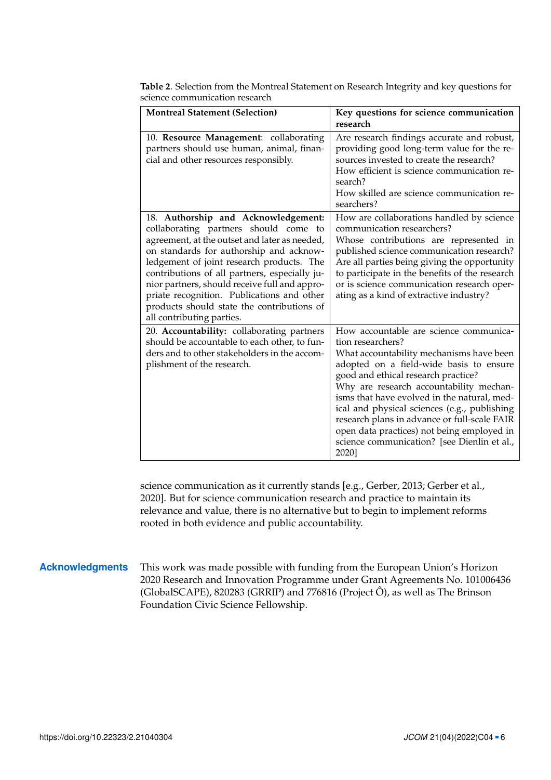| <b>Montreal Statement (Selection)</b>                                                                                                                                                                                                                                                                                                                                                                                                            | Key questions for science communication<br>research                                                                                                                                                                                                                                                                                                                                                                                                                                       |
|--------------------------------------------------------------------------------------------------------------------------------------------------------------------------------------------------------------------------------------------------------------------------------------------------------------------------------------------------------------------------------------------------------------------------------------------------|-------------------------------------------------------------------------------------------------------------------------------------------------------------------------------------------------------------------------------------------------------------------------------------------------------------------------------------------------------------------------------------------------------------------------------------------------------------------------------------------|
| 10. Resource Management: collaborating<br>partners should use human, animal, finan-<br>cial and other resources responsibly.                                                                                                                                                                                                                                                                                                                     | Are research findings accurate and robust,<br>providing good long-term value for the re-<br>sources invested to create the research?<br>How efficient is science communication re-<br>search?<br>How skilled are science communication re-<br>searchers?                                                                                                                                                                                                                                  |
| 18. Authorship and Acknowledgement:<br>collaborating partners should come to<br>agreement, at the outset and later as needed,<br>on standards for authorship and acknow-<br>ledgement of joint research products. The<br>contributions of all partners, especially ju-<br>nior partners, should receive full and appro-<br>priate recognition. Publications and other<br>products should state the contributions of<br>all contributing parties. | How are collaborations handled by science<br>communication researchers?<br>Whose contributions are represented in<br>published science communication research?<br>Are all parties being giving the opportunity<br>to participate in the benefits of the research<br>or is science communication research oper-<br>ating as a kind of extractive industry?                                                                                                                                 |
| 20. Accountability: collaborating partners<br>should be accountable to each other, to fun-<br>ders and to other stakeholders in the accom-<br>plishment of the research.                                                                                                                                                                                                                                                                         | How accountable are science communica-<br>tion researchers?<br>What accountability mechanisms have been<br>adopted on a field-wide basis to ensure<br>good and ethical research practice?<br>Why are research accountability mechan-<br>isms that have evolved in the natural, med-<br>ical and physical sciences (e.g., publishing<br>research plans in advance or full-scale FAIR<br>open data practices) not being employed in<br>science communication? [see Dienlin et al.,<br>2020] |

<span id="page-5-0"></span>**Table 2**. Selection from the Montreal Statement on Research Integrity and key questions for science communication research

science communication as it currently stands [e.g., Gerber, [2013;](#page-6-11) Gerber et al., [2020\]](#page-6-12). But for science communication research and practice to maintain its relevance and value, there is no alternative but to begin to implement reforms rooted in both evidence and public accountability.

### **Acknowledgments** This work was made possible with funding from the European Union's Horizon 2020 Research and Innovation Programme under Grant Agreements No. 101006436 (GlobalSCAPE), 820283 (GRRIP) and 776816 (Project Ô), as well as The Brinson Foundation Civic Science Fellowship.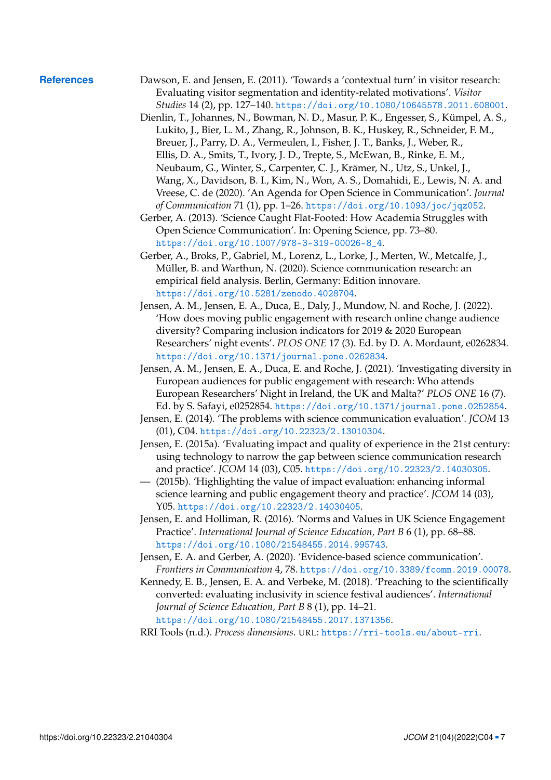- <span id="page-6-12"></span><span id="page-6-11"></span><span id="page-6-10"></span><span id="page-6-9"></span><span id="page-6-8"></span><span id="page-6-7"></span><span id="page-6-6"></span><span id="page-6-5"></span><span id="page-6-4"></span><span id="page-6-3"></span><span id="page-6-2"></span><span id="page-6-1"></span><span id="page-6-0"></span>**References** Dawson, E. and Jensen, E. (2011). 'Towards a 'contextual turn' in visitor research: Evaluating visitor segmentation and identity-related motivations'. *Visitor Studies* 14 (2), pp. 127–140. <https://doi.org/10.1080/10645578.2011.608001>.
	- Dienlin, T., Johannes, N., Bowman, N. D., Masur, P. K., Engesser, S., Kümpel, A. S., Lukito, J., Bier, L. M., Zhang, R., Johnson, B. K., Huskey, R., Schneider, F. M., Breuer, J., Parry, D. A., Vermeulen, I., Fisher, J. T., Banks, J., Weber, R., Ellis, D. A., Smits, T., Ivory, J. D., Trepte, S., McEwan, B., Rinke, E. M., Neubaum, G., Winter, S., Carpenter, C. J., Krämer, N., Utz, S., Unkel, J., Wang, X., Davidson, B. I., Kim, N., Won, A. S., Domahidi, E., Lewis, N. A. and Vreese, C. de (2020). 'An Agenda for Open Science in Communication'. *Journal of Communication* 71 (1), pp. 1–26. <https://doi.org/10.1093/joc/jqz052>.
	- Gerber, A. (2013). 'Science Caught Flat-Footed: How Academia Struggles with Open Science Communication'. In: Opening Science, pp. 73–80. [https://doi.org/10.1007/978-3-319-00026-8\\_4](https://doi.org/10.1007/978-3-319-00026-8_4).
	- Gerber, A., Broks, P., Gabriel, M., Lorenz, L., Lorke, J., Merten, W., Metcalfe, J., Müller, B. and Warthun, N. (2020). Science communication research: an empirical field analysis. Berlin, Germany: Edition innovare. <https://doi.org/10.5281/zenodo.4028704>.
	- Jensen, A. M., Jensen, E. A., Duca, E., Daly, J., Mundow, N. and Roche, J. (2022). 'How does moving public engagement with research online change audience diversity? Comparing inclusion indicators for 2019 & 2020 European Researchers' night events'. *PLOS ONE* 17 (3). Ed. by D. A. Mordaunt, e0262834. <https://doi.org/10.1371/journal.pone.0262834>.
	- Jensen, A. M., Jensen, E. A., Duca, E. and Roche, J. (2021). 'Investigating diversity in European audiences for public engagement with research: Who attends European Researchers' Night in Ireland, the UK and Malta?' *PLOS ONE* 16 (7). Ed. by S. Safayi, e0252854. <https://doi.org/10.1371/journal.pone.0252854>.
	- Jensen, E. (2014). 'The problems with science communication evaluation'. *JCOM* 13 (01), C04. <https://doi.org/10.22323/2.13010304>.
	- Jensen, E. (2015a). 'Evaluating impact and quality of experience in the 21st century: using technology to narrow the gap between science communication research and practice'. *JCOM* 14 (03), C05. <https://doi.org/10.22323/2.14030305>.
	- (2015b). 'Highlighting the value of impact evaluation: enhancing informal science learning and public engagement theory and practice'. *JCOM* 14 (03), Y05. <https://doi.org/10.22323/2.14030405>.
	- Jensen, E. and Holliman, R. (2016). 'Norms and Values in UK Science Engagement Practice'. *International Journal of Science Education, Part B* 6 (1), pp. 68–88. <https://doi.org/10.1080/21548455.2014.995743>.
	- Jensen, E. A. and Gerber, A. (2020). 'Evidence-based science communication'. *Frontiers in Communication* 4, 78. <https://doi.org/10.3389/fcomm.2019.00078>.
	- Kennedy, E. B., Jensen, E. A. and Verbeke, M. (2018). 'Preaching to the scientifically converted: evaluating inclusivity in science festival audiences'. *International Journal of Science Education, Part B* 8 (1), pp. 14–21. <https://doi.org/10.1080/21548455.2017.1371356>.
	- RRI Tools (n.d.). *Process dimensions*. URL: <https://rri-tools.eu/about-rri>.